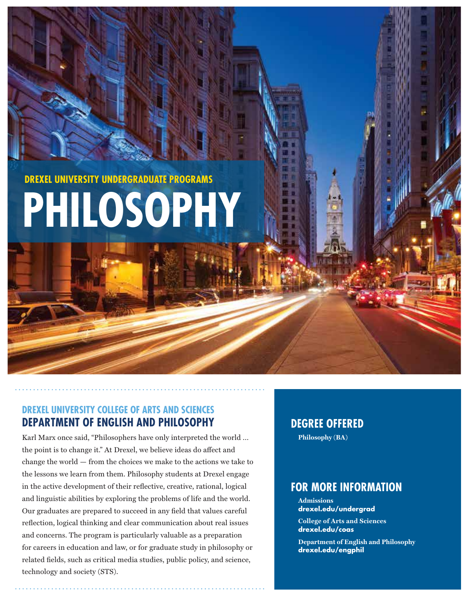**DREXEL UNIVERSITY UNDERGRADUATE PROGRAMS**

# **PHILOSOPHY**

# **DREXEL UNIVERSITY COLLEGE OF ARTS AND SCIENCES DEPARTMENT OF ENGLISH AND PHILOSOPHY**

Karl Marx once said, "Philosophers have only interpreted the world … the point is to change it." At Drexel, we believe ideas do affect and change the world — from the choices we make to the actions we take to the lessons we learn from them. Philosophy students at Drexel engage in the active development of their reflective, creative, rational, logical and linguistic abilities by exploring the problems of life and the world. Our graduates are prepared to succeed in any field that values careful reflection, logical thinking and clear communication about real issues and concerns. The program is particularly valuable as a preparation for careers in education and law, or for graduate study in philosophy or related fields, such as critical media studies, public policy, and science, technology and society (STS).

# **DEGREE OFFERED**

**Philosophy (BA)**

# **FOR MORE INFORMATION**

**Admissions drexel.edu/undergrad**

**College of Arts and Sciences drexel.edu/coas** 

**Department of English and Philosophy drexel.edu/engphil**